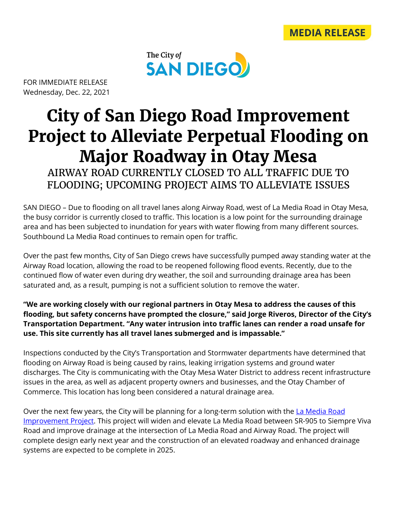



FOR IMMEDIATE RELEASE Wednesday, Dec. 22, 2021

## **City of San Diego Road Improvement Project to Alleviate Perpetual Flooding on Major Roadway in Otay Mesa**

AIRWAY ROAD CURRENTLY CLOSED TO ALL TRAFFIC DUE TO FLOODING; UPCOMING PROJECT AIMS TO ALLEVIATE ISSUES

SAN DIEGO – Due to flooding on all travel lanes along Airway Road, west of La Media Road in Otay Mesa, the busy corridor is currently closed to traffic. This location is a low point for the surrounding drainage area and has been subjected to inundation for years with water flowing from many different sources. Southbound La Media Road continues to remain open for traffic.

Over the past few months, City of San Diego crews have successfully pumped away standing water at the Airway Road location, allowing the road to be reopened following flood events. Recently, due to the continued flow of water even during dry weather, the soil and surrounding drainage area has been saturated and, as a result, pumping is not a sufficient solution to remove the water.

**"We are working closely with our regional partners in Otay Mesa to address the causes of this flooding, but safety concerns have prompted the closure," said Jorge Riveros, Director of the City's Transportation Department. "Any water intrusion into traffic lanes can render a road unsafe for use. This site currently has all travel lanes submerged and is impassable."**

Inspections conducted by the City's Transportation and Stormwater departments have determined that flooding on Airway Road is being caused by rains, leaking irrigation systems and ground water discharges. The City is communicating with the Otay Mesa Water District to address recent infrastructure issues in the area, as well as adjacent property owners and businesses, and the Otay Chamber of Commerce. This location has long been considered a natural drainage area.

Over the next few years, the City will be planning for a long-term solution with the La Media Road [Improvement Project.](https://cipapp.sandiego.gov/CIPDetail.aspx?ID=S15018) This project will widen and elevate La Media Road between SR-905 to Siempre Viva Road and improve drainage at the intersection of La Media Road and Airway Road. The project will complete design early next year and the construction of an elevated roadway and enhanced drainage systems are expected to be complete in 2025.